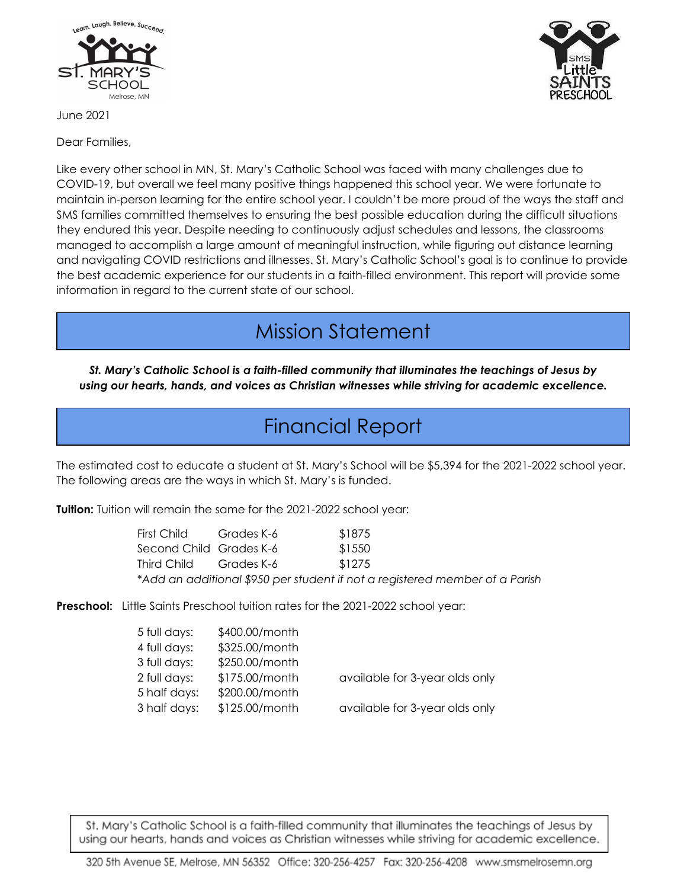

June 2021

Dear Families,

Like every other school in MN, St. Mary's Catholic School was faced with many challenges due to COVID-19, but overall we feel many positive things happened this school year. We were fortunate to maintain in-person learning for the entire school year. I couldn't be more proud of the ways the staff and SMS families committed themselves to ensuring the best possible education during the difficult situations they endured this year. Despite needing to continuously adjust schedules and lessons, the classrooms managed to accomplish a large amount of meaningful instruction, while figuring out distance learning and navigating COVID restrictions and illnesses. St. Mary's Catholic School's goal is to continue to provide the best academic experience for our students in a faith-filled environment. This report will provide some information in regard to the current state of our school.

# Mission Statement

*St. Mary's Catholic School is a faith-filled community that illuminates the teachings of Jesus by using our hearts, hands, and voices as Christian witnesses while striving for academic excellence.*

## Financial Report

The estimated cost to educate a student at St. Mary's School will be \$5,394 for the 2021-2022 school year. The following areas are the ways in which St. Mary's is funded.

**Tuition:** Tuition will remain the same for the 2021-2022 school year:

| First Child                                                                 | Grades K-6 | \$1875 |
|-----------------------------------------------------------------------------|------------|--------|
| Second Child Grades K-6                                                     |            | \$1550 |
| Third Child                                                                 | Grades K-6 | \$1275 |
| *Add an additional \$950 per student if not a registered member of a Parish |            |        |

**Preschool:** Little Saints Preschool tuition rates for the 2021-2022 school year:

| 5 full days: | \$400.00/month |                                |
|--------------|----------------|--------------------------------|
| 4 full days: | \$325.00/month |                                |
| 3 full days: | \$250.00/month |                                |
| 2 full days: | \$175.00/month | available for 3-year olds only |
| 5 half days: | \$200.00/month |                                |
| 3 half days: | \$125.00/month | available for 3-year olds only |
|              |                |                                |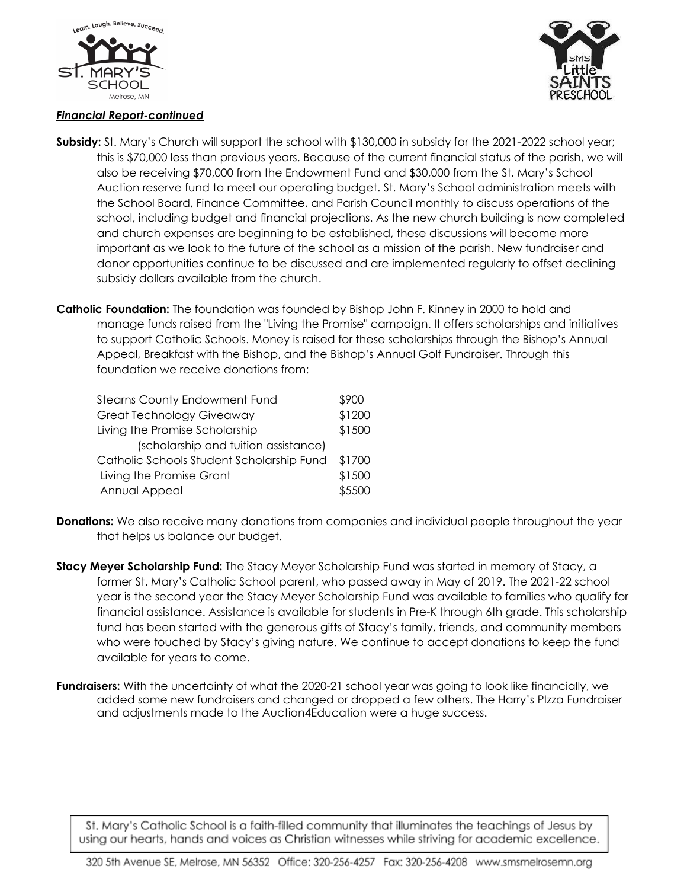



#### *Financial Report-continued*

- **Subsidy:** St. Mary's Church will support the school with \$130,000 in subsidy for the 2021-2022 school year; this is \$70,000 less than previous years. Because of the current financial status of the parish, we will also be receiving \$70,000 from the Endowment Fund and \$30,000 from the St. Mary's School Auction reserve fund to meet our operating budget. St. Mary's School administration meets with the School Board, Finance Committee, and Parish Council monthly to discuss operations of the school, including budget and financial projections. As the new church building is now completed and church expenses are beginning to be established, these discussions will become more important as we look to the future of the school as a mission of the parish. New fundraiser and donor opportunities continue to be discussed and are implemented regularly to offset declining subsidy dollars available from the church.
- **Catholic Foundation:** The foundation was founded by Bishop John F. Kinney in 2000 to hold and manage funds raised from the "Living the Promise" campaign. It offers scholarships and initiatives to support Catholic Schools. Money is raised for these scholarships through the Bishop's Annual Appeal, Breakfast with the Bishop, and the Bishop's Annual Golf Fundraiser. Through this foundation we receive donations from:

| <b>Stearns County Endowment Fund</b>      |  |
|-------------------------------------------|--|
| <b>Great Technology Giveaway</b>          |  |
| Living the Promise Scholarship            |  |
| (scholarship and tuition assistance)      |  |
| Catholic Schools Student Scholarship Fund |  |
| Living the Promise Grant                  |  |
| Annual Appeal                             |  |

- **Donations:** We also receive many donations from companies and individual people throughout the year that helps us balance our budget.
- **Stacy Meyer Scholarship Fund:** The Stacy Meyer Scholarship Fund was started in memory of Stacy, a former St. Mary's Catholic School parent, who passed away in May of 2019. The 2021-22 school year is the second year the Stacy Meyer Scholarship Fund was available to families who qualify for financial assistance. Assistance is available for students in Pre-K through 6th grade. This scholarship fund has been started with the generous gifts of Stacy's family, friends, and community members who were touched by Stacy's giving nature. We continue to accept donations to keep the fund available for years to come.
- **Fundraisers:** With the uncertainty of what the 2020-21 school year was going to look like financially, we added some new fundraisers and changed or dropped a few others. The Harry's PIzza Fundraiser and adjustments made to the Auction4Education were a huge success.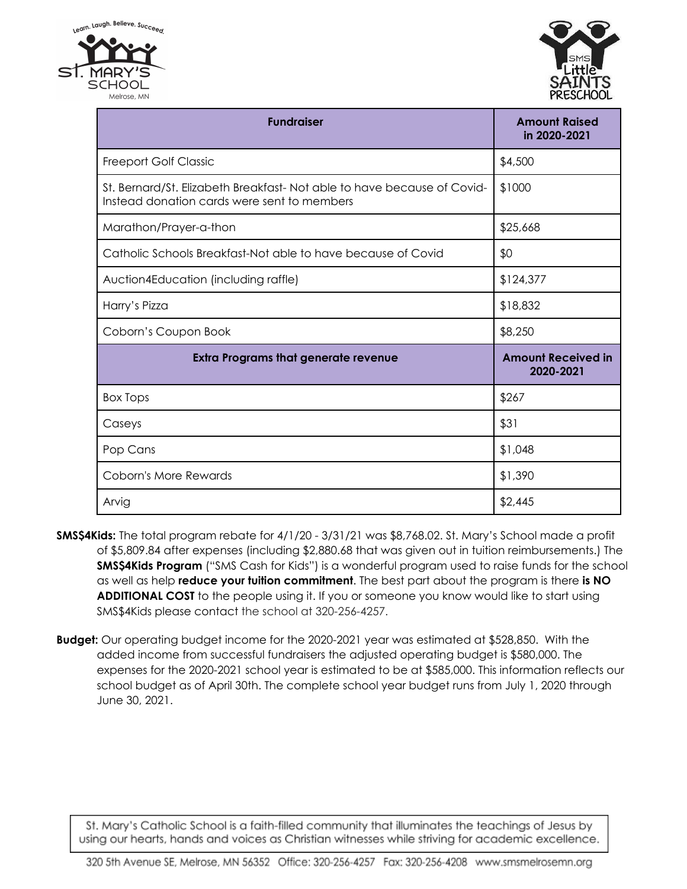

| <b>Fundraiser</b>                                                                                                     | <b>Amount Raised</b><br>in 2020-2021   |
|-----------------------------------------------------------------------------------------------------------------------|----------------------------------------|
| <b>Freeport Golf Classic</b>                                                                                          | \$4,500                                |
| St. Bernard/St. Elizabeth Breakfast-Not able to have because of Covid-<br>Instead donation cards were sent to members | \$1000                                 |
| Marathon/Prayer-a-thon                                                                                                | \$25,668                               |
| Catholic Schools Breakfast-Not able to have because of Covid                                                          | \$0                                    |
| Auction4Education (including raffle)                                                                                  | \$124,377                              |
| Harry's Pizza                                                                                                         | \$18,832                               |
| Coborn's Coupon Book                                                                                                  | \$8,250                                |
| <b>Extra Programs that generate revenue</b>                                                                           | <b>Amount Received in</b><br>2020-2021 |
| <b>Box Tops</b>                                                                                                       | \$267                                  |
| Caseys                                                                                                                | \$31                                   |
| Pop Cans                                                                                                              | \$1,048                                |
| <b>Coborn's More Rewards</b>                                                                                          | \$1,390                                |
| Arvig                                                                                                                 | \$2,445                                |

- **SMS\$4Kids:** The total program rebate for 4/1/20 3/31/21 was \$8,768.02. St. Mary's School made a profit of \$5,809.84 after expenses (including \$2,880.68 that was given out in tuition reimbursements.) The **SMS\$4Kids Program** ("SMS Cash for Kids") is a wonderful program used to raise funds for the school as well as help **reduce your tuition commitment**. The best part about the program is there **is NO ADDITIONAL COST** to the people using it. If you or someone you know would like to start using SMS\$4Kids please contact the school at 320-256-4257.
- **Budget:** Our operating budget income for the 2020-2021 year was estimated at \$528,850. With the added income from successful fundraisers the adjusted operating budget is \$580,000. The expenses for the 2020-2021 school year is estimated to be at \$585,000. This information reflects our school budget as of April 30th. The complete school year budget runs from July 1, 2020 through June 30, 2021.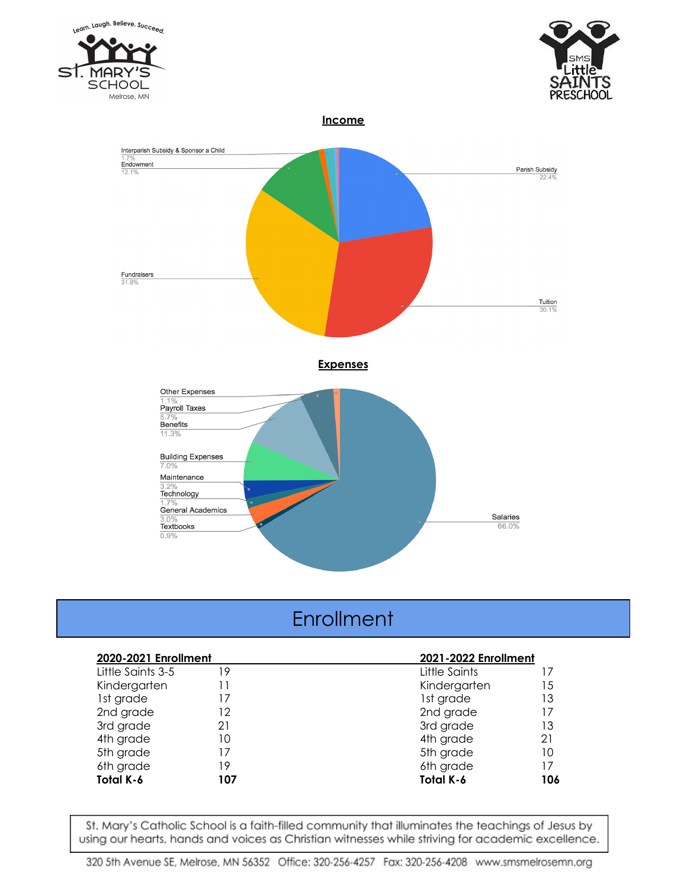



#### **Income**



### **Enrollment**

| 2020-2021 Enrollment |     | 2021-2022 Enrollment |     |
|----------------------|-----|----------------------|-----|
| Little Saints 3-5    | 19  | Little Saints        |     |
| Kindergarten         | 11  | Kindergarten         | 15  |
| 1st grade            | 17  | 1st grade            | 13  |
| 2nd grade            | 12  | 2nd grade            | 17  |
| 3rd grade            | 21  | 3rd grade            | 13  |
| 4th grade            | 10  | 4th grade            | 21  |
| 5th grade            | 17  | 5th grade            | 10  |
| 6th grade            | 19  | 6th grade            | 17  |
| Total K-6            | 107 | Total K-6            | 106 |

St. Mary's Catholic School is a faith-filled community that illuminates the teachings of Jesus by using our hearts, hands and voices as Christian witnesses while striving for academic excellence.

320 5th Avenue SE, Melrose, MN 56352 Office: 320-256-4257 Fax: 320-256-4208 www.smsmelrosemn.org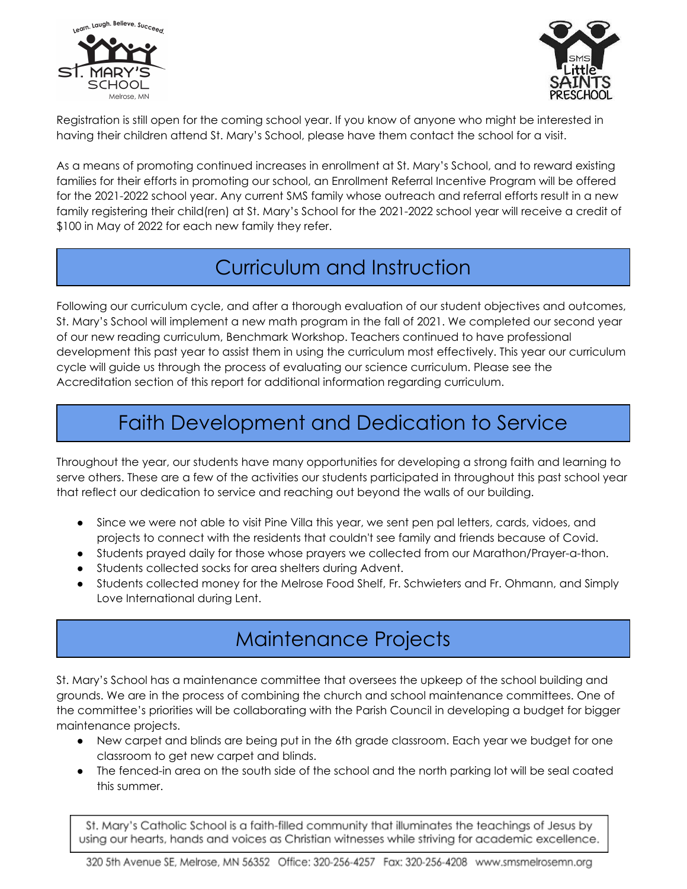



Registration is still open for the coming school year. If you know of anyone who might be interested in having their children attend St. Mary's School, please have them contact the school for a visit.

As a means of promoting continued increases in enrollment at St. Mary's School, and to reward existing families for their efforts in promoting our school, an Enrollment Referral Incentive Program will be offered for the 2021-2022 school year. Any current SMS family whose outreach and referral efforts result in a new family registering their child(ren) at St. Mary's School for the 2021-2022 school year will receive a credit of \$100 in May of 2022 for each new family they refer.

## Curriculum and Instruction

Following our curriculum cycle, and after a thorough evaluation of our student objectives and outcomes, St. Mary's School will implement a new math program in the fall of 2021. We completed our second year of our new reading curriculum, Benchmark Workshop. Teachers continued to have professional development this past year to assist them in using the curriculum most effectively. This year our curriculum cycle will guide us through the process of evaluating our science curriculum. Please see the Accreditation section of this report for additional information regarding curriculum.

# Faith Development and Dedication to Service

Throughout the year, our students have many opportunities for developing a strong faith and learning to serve others. These are a few of the activities our students participated in throughout this past school year that reflect our dedication to service and reaching out beyond the walls of our building.

- Since we were not able to visit Pine Villa this year, we sent pen pal letters, cards, vidoes, and projects to connect with the residents that couldn't see family and friends because of Covid.
- Students prayed daily for those whose prayers we collected from our Marathon/Prayer-a-thon.
- Students collected socks for area shelters during Advent.
- Students collected money for the Melrose Food Shelf, Fr. Schwieters and Fr. Ohmann, and Simply Love International during Lent.

## Maintenance Projects

St. Mary's School has a maintenance committee that oversees the upkeep of the school building and grounds. We are in the process of combining the church and school maintenance committees. One of the committee's priorities will be collaborating with the Parish Council in developing a budget for bigger maintenance projects.

- New carpet and blinds are being put in the 6th grade classroom. Each year we budget for one classroom to get new carpet and blinds.
- The fenced-in area on the south side of the school and the north parking lot will be seal coated this summer.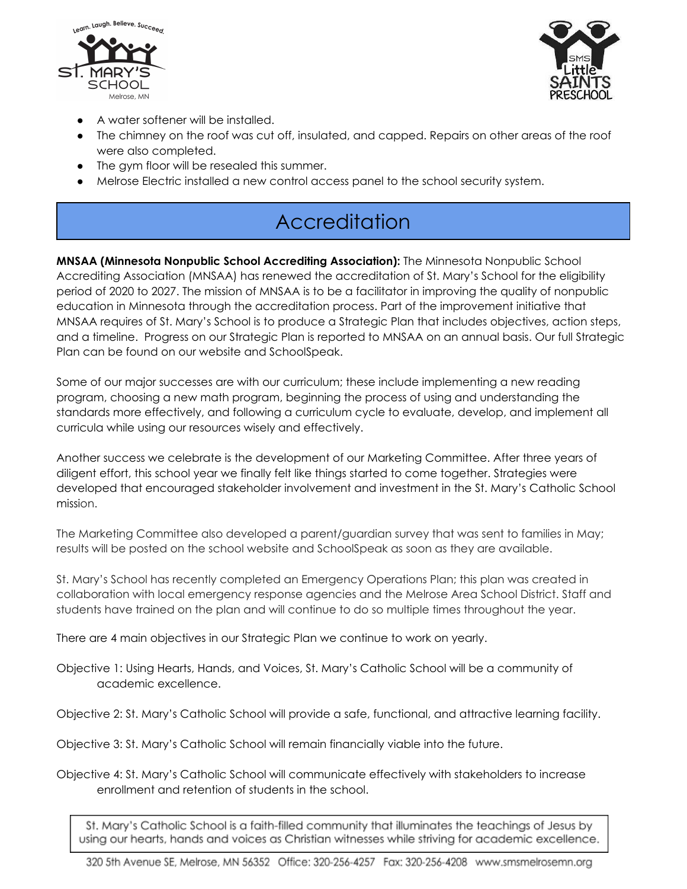



- A water softener will be installed.
- The chimney on the roof was cut off, insulated, and capped. Repairs on other areas of the roof were also completed.
- The gym floor will be resealed this summer.
- Melrose Electric installed a new control access panel to the school security system.

## **Accreditation**

**MNSAA (Minnesota Nonpublic School Accrediting Association):** The Minnesota Nonpublic School Accrediting Association (MNSAA) has renewed the accreditation of St. Mary's School for the eligibility period of 2020 to 2027. The mission of MNSAA is to be a facilitator in improving the quality of nonpublic education in Minnesota through the accreditation process. Part of the improvement initiative that MNSAA requires of St. Mary's School is to produce a Strategic Plan that includes objectives, action steps, and a timeline. Progress on our Strategic Plan is reported to MNSAA on an annual basis. Our full Strategic Plan can be found on our website and SchoolSpeak.

Some of our major successes are with our curriculum; these include implementing a new reading program, choosing a new math program, beginning the process of using and understanding the standards more effectively, and following a curriculum cycle to evaluate, develop, and implement all curricula while using our resources wisely and effectively.

Another success we celebrate is the development of our Marketing Committee. After three years of diligent effort, this school year we finally felt like things started to come together. Strategies were developed that encouraged stakeholder involvement and investment in the St. Mary's Catholic School mission.

The Marketing Committee also developed a parent/guardian survey that was sent to families in May; results will be posted on the school website and SchoolSpeak as soon as they are available.

St. Mary's School has recently completed an Emergency Operations Plan; this plan was created in collaboration with local emergency response agencies and the Melrose Area School District. Staff and students have trained on the plan and will continue to do so multiple times throughout the year.

There are 4 main objectives in our Strategic Plan we continue to work on yearly.

Objective 1: Using Hearts, Hands, and Voices, St. Mary's Catholic School will be a community of academic excellence.

Objective 2: St. Mary's Catholic School will provide a safe, functional, and attractive learning facility.

Objective 3: St. Mary's Catholic School will remain financially viable into the future.

Objective 4: St. Mary's Catholic School will communicate effectively with stakeholders to increase enrollment and retention of students in the school.